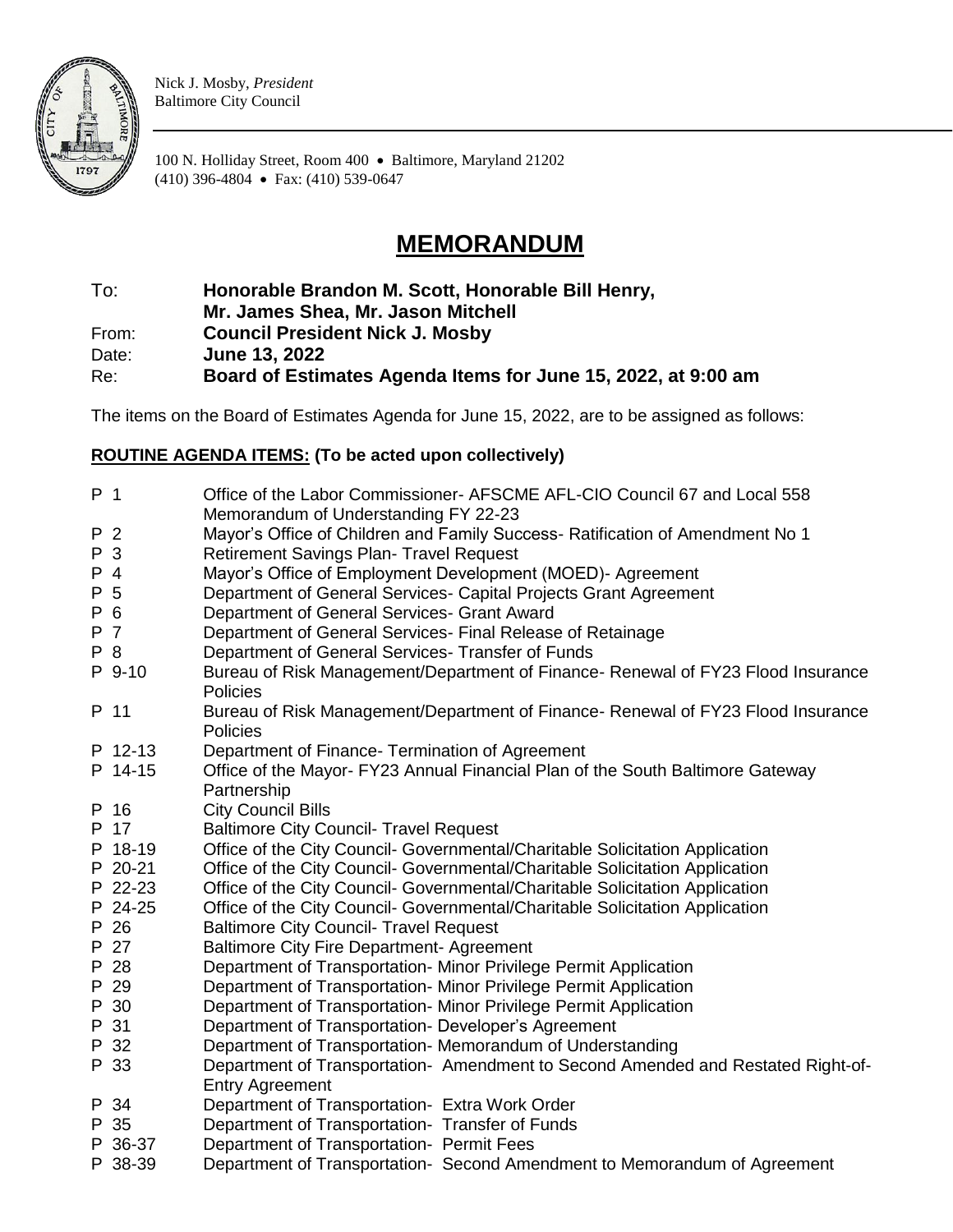

Nick J. Mosby, *President* Baltimore City Council

100 N. Holliday Street, Room 400 • Baltimore, Maryland 21202 (410) 396-4804 • Fax: (410) 539-0647

## **MEMORANDUM**

To: **Honorable Brandon M. Scott, Honorable Bill Henry,** 

**Mr. James Shea, Mr. Jason Mitchell**

From: **Council President Nick J. Mosby**

Date: **June 13, 2022**

Re: **Board of Estimates Agenda Items for June 15, 2022, at 9:00 am**

The items on the Board of Estimates Agenda for June 15, 2022, are to be assigned as follows:

## **ROUTINE AGENDA ITEMS: (To be acted upon collectively)**

| P <sub>1</sub> |              | Office of the Labor Commissioner- AFSCME AFL-CIO Council 67 and Local 558<br>Memorandum of Understanding FY 22-23 |
|----------------|--------------|-------------------------------------------------------------------------------------------------------------------|
| P 2            |              | Mayor's Office of Children and Family Success- Ratification of Amendment No 1                                     |
| P              | $\mathbf{3}$ | <b>Retirement Savings Plan- Travel Request</b>                                                                    |
| P 4            |              | Mayor's Office of Employment Development (MOED)- Agreement                                                        |
| P 5            |              | Department of General Services- Capital Projects Grant Agreement                                                  |
| P 6            |              | Department of General Services- Grant Award                                                                       |
| P 7            |              | Department of General Services- Final Release of Retainage                                                        |
| P 8            |              | Department of General Services- Transfer of Funds                                                                 |
|                | P 9-10       | Bureau of Risk Management/Department of Finance- Renewal of FY23 Flood Insurance<br><b>Policies</b>               |
|                | P 11         | Bureau of Risk Management/Department of Finance- Renewal of FY23 Flood Insurance<br>Policies                      |
|                | P 12-13      | Department of Finance- Termination of Agreement                                                                   |
|                | P 14-15      | Office of the Mayor- FY23 Annual Financial Plan of the South Baltimore Gateway                                    |
|                |              | Partnership                                                                                                       |
|                | P 16         | <b>City Council Bills</b>                                                                                         |
|                | P 17         | <b>Baltimore City Council- Travel Request</b>                                                                     |
|                | P 18-19      | Office of the City Council- Governmental/Charitable Solicitation Application                                      |
|                | P 20-21      | Office of the City Council- Governmental/Charitable Solicitation Application                                      |
|                | P 22-23      | Office of the City Council- Governmental/Charitable Solicitation Application                                      |
|                | P 24-25      | Office of the City Council- Governmental/Charitable Solicitation Application                                      |
|                | P 26         | <b>Baltimore City Council- Travel Request</b>                                                                     |
|                | P 27         | <b>Baltimore City Fire Department- Agreement</b>                                                                  |
|                | P 28         | Department of Transportation- Minor Privilege Permit Application                                                  |
|                | P 29         | Department of Transportation- Minor Privilege Permit Application                                                  |
|                | P 30         | Department of Transportation- Minor Privilege Permit Application                                                  |
|                | P 31         | Department of Transportation- Developer's Agreement                                                               |
|                | P 32         | Department of Transportation- Memorandum of Understanding                                                         |
|                | P 33         | Department of Transportation- Amendment to Second Amended and Restated Right-of-<br><b>Entry Agreement</b>        |
|                | P 34         | Department of Transportation- Extra Work Order                                                                    |
|                | P 35         | Department of Transportation- Transfer of Funds                                                                   |
|                | P 36-37      | Department of Transportation- Permit Fees                                                                         |
|                | P 38-39      | Department of Transportation- Second Amendment to Memorandum of Agreement                                         |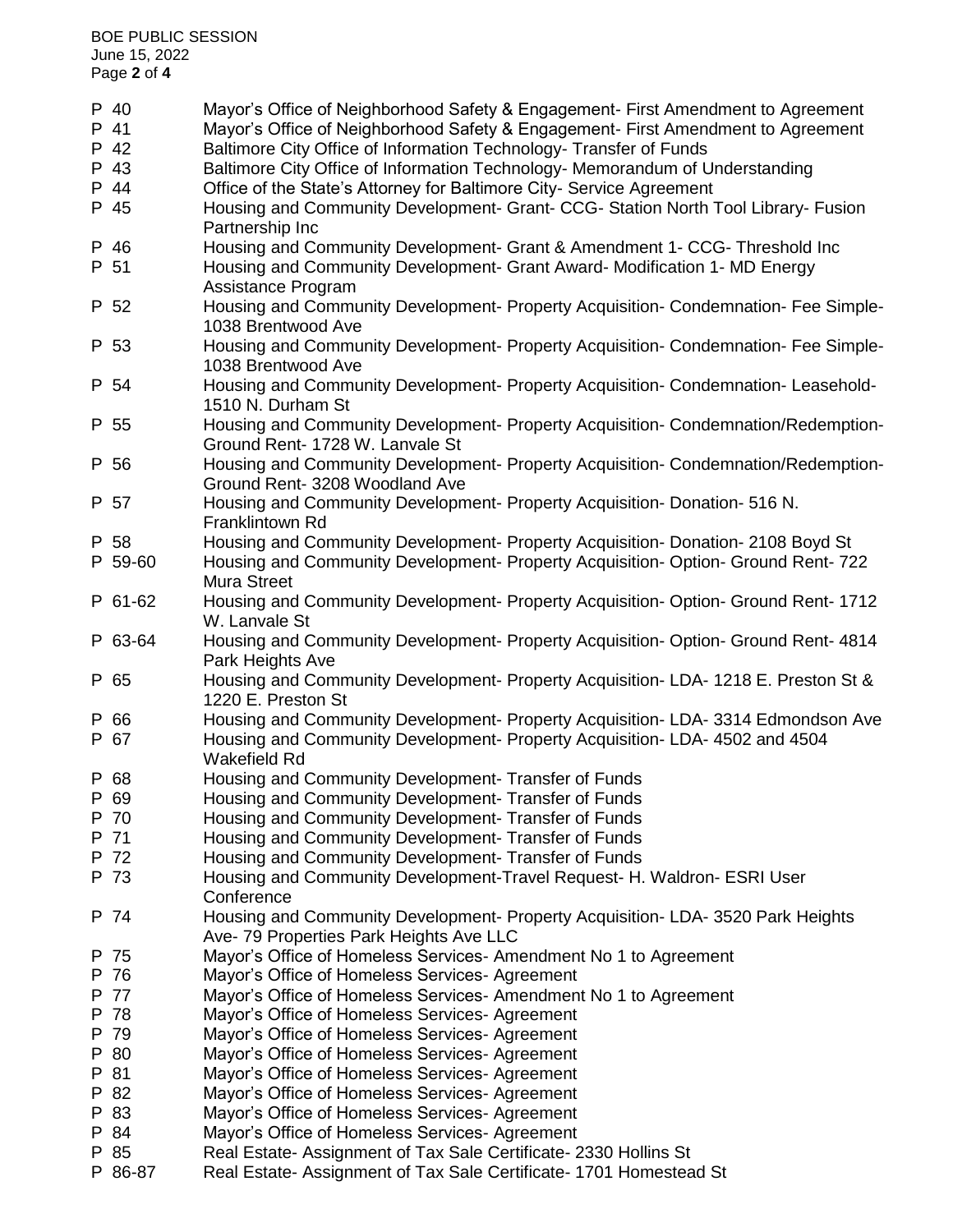| Housing and Community Development- Grant & Amendment 1- CCG- Threshold Inc<br>P 46<br>Housing and Community Development- Grant Award- Modification 1- MD Energy<br>P 51<br>Assistance Program<br>Housing and Community Development- Property Acquisition- Condemnation- Fee Simple-<br>P 52<br>1038 Brentwood Ave<br>Housing and Community Development- Property Acquisition- Condemnation- Fee Simple-<br>P 53<br>1038 Brentwood Ave<br>Housing and Community Development- Property Acquisition- Condemnation- Leasehold-<br>P 54<br>1510 N. Durham St<br>Housing and Community Development- Property Acquisition- Condemnation/Redemption-<br>P 55<br>Ground Rent- 1728 W. Lanvale St<br>Housing and Community Development- Property Acquisition- Condemnation/Redemption-<br>P 56<br>Ground Rent- 3208 Woodland Ave<br>Housing and Community Development- Property Acquisition- Donation- 516 N.<br>P 57<br>Franklintown Rd<br>P 58<br>Housing and Community Development- Property Acquisition- Donation- 2108 Boyd St<br>Housing and Community Development- Property Acquisition- Option- Ground Rent-722<br>P 59-60<br><b>Mura Street</b><br>Housing and Community Development- Property Acquisition- Option- Ground Rent-1712<br>P 61-62<br>W. Lanvale St<br>Housing and Community Development- Property Acquisition- Option- Ground Rent- 4814<br>P 63-64<br>Park Heights Ave<br>Housing and Community Development- Property Acquisition- LDA- 1218 E. Preston St &<br>P 65<br>1220 E. Preston St<br>Housing and Community Development- Property Acquisition- LDA- 3314 Edmondson Ave<br>P 66<br>Housing and Community Development- Property Acquisition-LDA-4502 and 4504<br>P 67<br><b>Wakefield Rd</b><br>Housing and Community Development- Transfer of Funds<br>P 68<br>Housing and Community Development- Transfer of Funds<br>P 69<br>Housing and Community Development- Transfer of Funds<br>P 70<br>Housing and Community Development- Transfer of Funds<br>P 71<br>P 72<br>Housing and Community Development- Transfer of Funds<br>P 73<br>Housing and Community Development-Travel Request- H. Waldron- ESRI User<br>Conference<br>Housing and Community Development- Property Acquisition- LDA- 3520 Park Heights<br>P 74<br>Ave- 79 Properties Park Heights Ave LLC<br>Mayor's Office of Homeless Services- Amendment No 1 to Agreement<br>P 75<br>Mayor's Office of Homeless Services- Agreement<br>P 76<br>P 77<br>Mayor's Office of Homeless Services- Amendment No 1 to Agreement<br>P 78<br>Mayor's Office of Homeless Services- Agreement<br>P 79<br>Mayor's Office of Homeless Services- Agreement<br>P 80<br>Mayor's Office of Homeless Services- Agreement<br>P 81<br>Mayor's Office of Homeless Services- Agreement<br>P 82<br>Mayor's Office of Homeless Services- Agreement<br>Mayor's Office of Homeless Services- Agreement<br>P 83<br>Mayor's Office of Homeless Services- Agreement<br>P 84<br>Real Estate- Assignment of Tax Sale Certificate- 2330 Hollins St<br>P 85<br>P 86-87<br>Real Estate- Assignment of Tax Sale Certificate- 1701 Homestead St | P 40<br>P 41<br>P 42<br>P 43<br>P 44<br>P 45 | Mayor's Office of Neighborhood Safety & Engagement- First Amendment to Agreement<br>Mayor's Office of Neighborhood Safety & Engagement- First Amendment to Agreement<br>Baltimore City Office of Information Technology- Transfer of Funds<br>Baltimore City Office of Information Technology- Memorandum of Understanding<br>Office of the State's Attorney for Baltimore City- Service Agreement<br>Housing and Community Development- Grant- CCG- Station North Tool Library- Fusion<br>Partnership Inc |
|----------------------------------------------------------------------------------------------------------------------------------------------------------------------------------------------------------------------------------------------------------------------------------------------------------------------------------------------------------------------------------------------------------------------------------------------------------------------------------------------------------------------------------------------------------------------------------------------------------------------------------------------------------------------------------------------------------------------------------------------------------------------------------------------------------------------------------------------------------------------------------------------------------------------------------------------------------------------------------------------------------------------------------------------------------------------------------------------------------------------------------------------------------------------------------------------------------------------------------------------------------------------------------------------------------------------------------------------------------------------------------------------------------------------------------------------------------------------------------------------------------------------------------------------------------------------------------------------------------------------------------------------------------------------------------------------------------------------------------------------------------------------------------------------------------------------------------------------------------------------------------------------------------------------------------------------------------------------------------------------------------------------------------------------------------------------------------------------------------------------------------------------------------------------------------------------------------------------------------------------------------------------------------------------------------------------------------------------------------------------------------------------------------------------------------------------------------------------------------------------------------------------------------------------------------------------------------------------------------------------------------------------------------------------------------------------------------------------------------------------------------------------------------------------------------------------------------------------------------------------------------------------------------------------------------------------------------------------------------------------------------------------------------------------------------------------------------------------|----------------------------------------------|------------------------------------------------------------------------------------------------------------------------------------------------------------------------------------------------------------------------------------------------------------------------------------------------------------------------------------------------------------------------------------------------------------------------------------------------------------------------------------------------------------|
|                                                                                                                                                                                                                                                                                                                                                                                                                                                                                                                                                                                                                                                                                                                                                                                                                                                                                                                                                                                                                                                                                                                                                                                                                                                                                                                                                                                                                                                                                                                                                                                                                                                                                                                                                                                                                                                                                                                                                                                                                                                                                                                                                                                                                                                                                                                                                                                                                                                                                                                                                                                                                                                                                                                                                                                                                                                                                                                                                                                                                                                                                              |                                              |                                                                                                                                                                                                                                                                                                                                                                                                                                                                                                            |
|                                                                                                                                                                                                                                                                                                                                                                                                                                                                                                                                                                                                                                                                                                                                                                                                                                                                                                                                                                                                                                                                                                                                                                                                                                                                                                                                                                                                                                                                                                                                                                                                                                                                                                                                                                                                                                                                                                                                                                                                                                                                                                                                                                                                                                                                                                                                                                                                                                                                                                                                                                                                                                                                                                                                                                                                                                                                                                                                                                                                                                                                                              |                                              |                                                                                                                                                                                                                                                                                                                                                                                                                                                                                                            |
|                                                                                                                                                                                                                                                                                                                                                                                                                                                                                                                                                                                                                                                                                                                                                                                                                                                                                                                                                                                                                                                                                                                                                                                                                                                                                                                                                                                                                                                                                                                                                                                                                                                                                                                                                                                                                                                                                                                                                                                                                                                                                                                                                                                                                                                                                                                                                                                                                                                                                                                                                                                                                                                                                                                                                                                                                                                                                                                                                                                                                                                                                              |                                              |                                                                                                                                                                                                                                                                                                                                                                                                                                                                                                            |
|                                                                                                                                                                                                                                                                                                                                                                                                                                                                                                                                                                                                                                                                                                                                                                                                                                                                                                                                                                                                                                                                                                                                                                                                                                                                                                                                                                                                                                                                                                                                                                                                                                                                                                                                                                                                                                                                                                                                                                                                                                                                                                                                                                                                                                                                                                                                                                                                                                                                                                                                                                                                                                                                                                                                                                                                                                                                                                                                                                                                                                                                                              |                                              |                                                                                                                                                                                                                                                                                                                                                                                                                                                                                                            |
|                                                                                                                                                                                                                                                                                                                                                                                                                                                                                                                                                                                                                                                                                                                                                                                                                                                                                                                                                                                                                                                                                                                                                                                                                                                                                                                                                                                                                                                                                                                                                                                                                                                                                                                                                                                                                                                                                                                                                                                                                                                                                                                                                                                                                                                                                                                                                                                                                                                                                                                                                                                                                                                                                                                                                                                                                                                                                                                                                                                                                                                                                              |                                              |                                                                                                                                                                                                                                                                                                                                                                                                                                                                                                            |
|                                                                                                                                                                                                                                                                                                                                                                                                                                                                                                                                                                                                                                                                                                                                                                                                                                                                                                                                                                                                                                                                                                                                                                                                                                                                                                                                                                                                                                                                                                                                                                                                                                                                                                                                                                                                                                                                                                                                                                                                                                                                                                                                                                                                                                                                                                                                                                                                                                                                                                                                                                                                                                                                                                                                                                                                                                                                                                                                                                                                                                                                                              |                                              |                                                                                                                                                                                                                                                                                                                                                                                                                                                                                                            |
|                                                                                                                                                                                                                                                                                                                                                                                                                                                                                                                                                                                                                                                                                                                                                                                                                                                                                                                                                                                                                                                                                                                                                                                                                                                                                                                                                                                                                                                                                                                                                                                                                                                                                                                                                                                                                                                                                                                                                                                                                                                                                                                                                                                                                                                                                                                                                                                                                                                                                                                                                                                                                                                                                                                                                                                                                                                                                                                                                                                                                                                                                              |                                              |                                                                                                                                                                                                                                                                                                                                                                                                                                                                                                            |
|                                                                                                                                                                                                                                                                                                                                                                                                                                                                                                                                                                                                                                                                                                                                                                                                                                                                                                                                                                                                                                                                                                                                                                                                                                                                                                                                                                                                                                                                                                                                                                                                                                                                                                                                                                                                                                                                                                                                                                                                                                                                                                                                                                                                                                                                                                                                                                                                                                                                                                                                                                                                                                                                                                                                                                                                                                                                                                                                                                                                                                                                                              |                                              |                                                                                                                                                                                                                                                                                                                                                                                                                                                                                                            |
|                                                                                                                                                                                                                                                                                                                                                                                                                                                                                                                                                                                                                                                                                                                                                                                                                                                                                                                                                                                                                                                                                                                                                                                                                                                                                                                                                                                                                                                                                                                                                                                                                                                                                                                                                                                                                                                                                                                                                                                                                                                                                                                                                                                                                                                                                                                                                                                                                                                                                                                                                                                                                                                                                                                                                                                                                                                                                                                                                                                                                                                                                              |                                              |                                                                                                                                                                                                                                                                                                                                                                                                                                                                                                            |
|                                                                                                                                                                                                                                                                                                                                                                                                                                                                                                                                                                                                                                                                                                                                                                                                                                                                                                                                                                                                                                                                                                                                                                                                                                                                                                                                                                                                                                                                                                                                                                                                                                                                                                                                                                                                                                                                                                                                                                                                                                                                                                                                                                                                                                                                                                                                                                                                                                                                                                                                                                                                                                                                                                                                                                                                                                                                                                                                                                                                                                                                                              |                                              |                                                                                                                                                                                                                                                                                                                                                                                                                                                                                                            |
|                                                                                                                                                                                                                                                                                                                                                                                                                                                                                                                                                                                                                                                                                                                                                                                                                                                                                                                                                                                                                                                                                                                                                                                                                                                                                                                                                                                                                                                                                                                                                                                                                                                                                                                                                                                                                                                                                                                                                                                                                                                                                                                                                                                                                                                                                                                                                                                                                                                                                                                                                                                                                                                                                                                                                                                                                                                                                                                                                                                                                                                                                              |                                              |                                                                                                                                                                                                                                                                                                                                                                                                                                                                                                            |
|                                                                                                                                                                                                                                                                                                                                                                                                                                                                                                                                                                                                                                                                                                                                                                                                                                                                                                                                                                                                                                                                                                                                                                                                                                                                                                                                                                                                                                                                                                                                                                                                                                                                                                                                                                                                                                                                                                                                                                                                                                                                                                                                                                                                                                                                                                                                                                                                                                                                                                                                                                                                                                                                                                                                                                                                                                                                                                                                                                                                                                                                                              |                                              |                                                                                                                                                                                                                                                                                                                                                                                                                                                                                                            |
|                                                                                                                                                                                                                                                                                                                                                                                                                                                                                                                                                                                                                                                                                                                                                                                                                                                                                                                                                                                                                                                                                                                                                                                                                                                                                                                                                                                                                                                                                                                                                                                                                                                                                                                                                                                                                                                                                                                                                                                                                                                                                                                                                                                                                                                                                                                                                                                                                                                                                                                                                                                                                                                                                                                                                                                                                                                                                                                                                                                                                                                                                              |                                              |                                                                                                                                                                                                                                                                                                                                                                                                                                                                                                            |
|                                                                                                                                                                                                                                                                                                                                                                                                                                                                                                                                                                                                                                                                                                                                                                                                                                                                                                                                                                                                                                                                                                                                                                                                                                                                                                                                                                                                                                                                                                                                                                                                                                                                                                                                                                                                                                                                                                                                                                                                                                                                                                                                                                                                                                                                                                                                                                                                                                                                                                                                                                                                                                                                                                                                                                                                                                                                                                                                                                                                                                                                                              |                                              |                                                                                                                                                                                                                                                                                                                                                                                                                                                                                                            |
|                                                                                                                                                                                                                                                                                                                                                                                                                                                                                                                                                                                                                                                                                                                                                                                                                                                                                                                                                                                                                                                                                                                                                                                                                                                                                                                                                                                                                                                                                                                                                                                                                                                                                                                                                                                                                                                                                                                                                                                                                                                                                                                                                                                                                                                                                                                                                                                                                                                                                                                                                                                                                                                                                                                                                                                                                                                                                                                                                                                                                                                                                              |                                              |                                                                                                                                                                                                                                                                                                                                                                                                                                                                                                            |
|                                                                                                                                                                                                                                                                                                                                                                                                                                                                                                                                                                                                                                                                                                                                                                                                                                                                                                                                                                                                                                                                                                                                                                                                                                                                                                                                                                                                                                                                                                                                                                                                                                                                                                                                                                                                                                                                                                                                                                                                                                                                                                                                                                                                                                                                                                                                                                                                                                                                                                                                                                                                                                                                                                                                                                                                                                                                                                                                                                                                                                                                                              |                                              |                                                                                                                                                                                                                                                                                                                                                                                                                                                                                                            |
|                                                                                                                                                                                                                                                                                                                                                                                                                                                                                                                                                                                                                                                                                                                                                                                                                                                                                                                                                                                                                                                                                                                                                                                                                                                                                                                                                                                                                                                                                                                                                                                                                                                                                                                                                                                                                                                                                                                                                                                                                                                                                                                                                                                                                                                                                                                                                                                                                                                                                                                                                                                                                                                                                                                                                                                                                                                                                                                                                                                                                                                                                              |                                              |                                                                                                                                                                                                                                                                                                                                                                                                                                                                                                            |
|                                                                                                                                                                                                                                                                                                                                                                                                                                                                                                                                                                                                                                                                                                                                                                                                                                                                                                                                                                                                                                                                                                                                                                                                                                                                                                                                                                                                                                                                                                                                                                                                                                                                                                                                                                                                                                                                                                                                                                                                                                                                                                                                                                                                                                                                                                                                                                                                                                                                                                                                                                                                                                                                                                                                                                                                                                                                                                                                                                                                                                                                                              |                                              |                                                                                                                                                                                                                                                                                                                                                                                                                                                                                                            |
|                                                                                                                                                                                                                                                                                                                                                                                                                                                                                                                                                                                                                                                                                                                                                                                                                                                                                                                                                                                                                                                                                                                                                                                                                                                                                                                                                                                                                                                                                                                                                                                                                                                                                                                                                                                                                                                                                                                                                                                                                                                                                                                                                                                                                                                                                                                                                                                                                                                                                                                                                                                                                                                                                                                                                                                                                                                                                                                                                                                                                                                                                              |                                              |                                                                                                                                                                                                                                                                                                                                                                                                                                                                                                            |
|                                                                                                                                                                                                                                                                                                                                                                                                                                                                                                                                                                                                                                                                                                                                                                                                                                                                                                                                                                                                                                                                                                                                                                                                                                                                                                                                                                                                                                                                                                                                                                                                                                                                                                                                                                                                                                                                                                                                                                                                                                                                                                                                                                                                                                                                                                                                                                                                                                                                                                                                                                                                                                                                                                                                                                                                                                                                                                                                                                                                                                                                                              |                                              |                                                                                                                                                                                                                                                                                                                                                                                                                                                                                                            |
|                                                                                                                                                                                                                                                                                                                                                                                                                                                                                                                                                                                                                                                                                                                                                                                                                                                                                                                                                                                                                                                                                                                                                                                                                                                                                                                                                                                                                                                                                                                                                                                                                                                                                                                                                                                                                                                                                                                                                                                                                                                                                                                                                                                                                                                                                                                                                                                                                                                                                                                                                                                                                                                                                                                                                                                                                                                                                                                                                                                                                                                                                              |                                              |                                                                                                                                                                                                                                                                                                                                                                                                                                                                                                            |
|                                                                                                                                                                                                                                                                                                                                                                                                                                                                                                                                                                                                                                                                                                                                                                                                                                                                                                                                                                                                                                                                                                                                                                                                                                                                                                                                                                                                                                                                                                                                                                                                                                                                                                                                                                                                                                                                                                                                                                                                                                                                                                                                                                                                                                                                                                                                                                                                                                                                                                                                                                                                                                                                                                                                                                                                                                                                                                                                                                                                                                                                                              |                                              |                                                                                                                                                                                                                                                                                                                                                                                                                                                                                                            |
|                                                                                                                                                                                                                                                                                                                                                                                                                                                                                                                                                                                                                                                                                                                                                                                                                                                                                                                                                                                                                                                                                                                                                                                                                                                                                                                                                                                                                                                                                                                                                                                                                                                                                                                                                                                                                                                                                                                                                                                                                                                                                                                                                                                                                                                                                                                                                                                                                                                                                                                                                                                                                                                                                                                                                                                                                                                                                                                                                                                                                                                                                              |                                              |                                                                                                                                                                                                                                                                                                                                                                                                                                                                                                            |
|                                                                                                                                                                                                                                                                                                                                                                                                                                                                                                                                                                                                                                                                                                                                                                                                                                                                                                                                                                                                                                                                                                                                                                                                                                                                                                                                                                                                                                                                                                                                                                                                                                                                                                                                                                                                                                                                                                                                                                                                                                                                                                                                                                                                                                                                                                                                                                                                                                                                                                                                                                                                                                                                                                                                                                                                                                                                                                                                                                                                                                                                                              |                                              |                                                                                                                                                                                                                                                                                                                                                                                                                                                                                                            |
|                                                                                                                                                                                                                                                                                                                                                                                                                                                                                                                                                                                                                                                                                                                                                                                                                                                                                                                                                                                                                                                                                                                                                                                                                                                                                                                                                                                                                                                                                                                                                                                                                                                                                                                                                                                                                                                                                                                                                                                                                                                                                                                                                                                                                                                                                                                                                                                                                                                                                                                                                                                                                                                                                                                                                                                                                                                                                                                                                                                                                                                                                              |                                              |                                                                                                                                                                                                                                                                                                                                                                                                                                                                                                            |
|                                                                                                                                                                                                                                                                                                                                                                                                                                                                                                                                                                                                                                                                                                                                                                                                                                                                                                                                                                                                                                                                                                                                                                                                                                                                                                                                                                                                                                                                                                                                                                                                                                                                                                                                                                                                                                                                                                                                                                                                                                                                                                                                                                                                                                                                                                                                                                                                                                                                                                                                                                                                                                                                                                                                                                                                                                                                                                                                                                                                                                                                                              |                                              |                                                                                                                                                                                                                                                                                                                                                                                                                                                                                                            |
|                                                                                                                                                                                                                                                                                                                                                                                                                                                                                                                                                                                                                                                                                                                                                                                                                                                                                                                                                                                                                                                                                                                                                                                                                                                                                                                                                                                                                                                                                                                                                                                                                                                                                                                                                                                                                                                                                                                                                                                                                                                                                                                                                                                                                                                                                                                                                                                                                                                                                                                                                                                                                                                                                                                                                                                                                                                                                                                                                                                                                                                                                              |                                              |                                                                                                                                                                                                                                                                                                                                                                                                                                                                                                            |
|                                                                                                                                                                                                                                                                                                                                                                                                                                                                                                                                                                                                                                                                                                                                                                                                                                                                                                                                                                                                                                                                                                                                                                                                                                                                                                                                                                                                                                                                                                                                                                                                                                                                                                                                                                                                                                                                                                                                                                                                                                                                                                                                                                                                                                                                                                                                                                                                                                                                                                                                                                                                                                                                                                                                                                                                                                                                                                                                                                                                                                                                                              |                                              |                                                                                                                                                                                                                                                                                                                                                                                                                                                                                                            |
|                                                                                                                                                                                                                                                                                                                                                                                                                                                                                                                                                                                                                                                                                                                                                                                                                                                                                                                                                                                                                                                                                                                                                                                                                                                                                                                                                                                                                                                                                                                                                                                                                                                                                                                                                                                                                                                                                                                                                                                                                                                                                                                                                                                                                                                                                                                                                                                                                                                                                                                                                                                                                                                                                                                                                                                                                                                                                                                                                                                                                                                                                              |                                              |                                                                                                                                                                                                                                                                                                                                                                                                                                                                                                            |
|                                                                                                                                                                                                                                                                                                                                                                                                                                                                                                                                                                                                                                                                                                                                                                                                                                                                                                                                                                                                                                                                                                                                                                                                                                                                                                                                                                                                                                                                                                                                                                                                                                                                                                                                                                                                                                                                                                                                                                                                                                                                                                                                                                                                                                                                                                                                                                                                                                                                                                                                                                                                                                                                                                                                                                                                                                                                                                                                                                                                                                                                                              |                                              |                                                                                                                                                                                                                                                                                                                                                                                                                                                                                                            |
|                                                                                                                                                                                                                                                                                                                                                                                                                                                                                                                                                                                                                                                                                                                                                                                                                                                                                                                                                                                                                                                                                                                                                                                                                                                                                                                                                                                                                                                                                                                                                                                                                                                                                                                                                                                                                                                                                                                                                                                                                                                                                                                                                                                                                                                                                                                                                                                                                                                                                                                                                                                                                                                                                                                                                                                                                                                                                                                                                                                                                                                                                              |                                              |                                                                                                                                                                                                                                                                                                                                                                                                                                                                                                            |
|                                                                                                                                                                                                                                                                                                                                                                                                                                                                                                                                                                                                                                                                                                                                                                                                                                                                                                                                                                                                                                                                                                                                                                                                                                                                                                                                                                                                                                                                                                                                                                                                                                                                                                                                                                                                                                                                                                                                                                                                                                                                                                                                                                                                                                                                                                                                                                                                                                                                                                                                                                                                                                                                                                                                                                                                                                                                                                                                                                                                                                                                                              |                                              |                                                                                                                                                                                                                                                                                                                                                                                                                                                                                                            |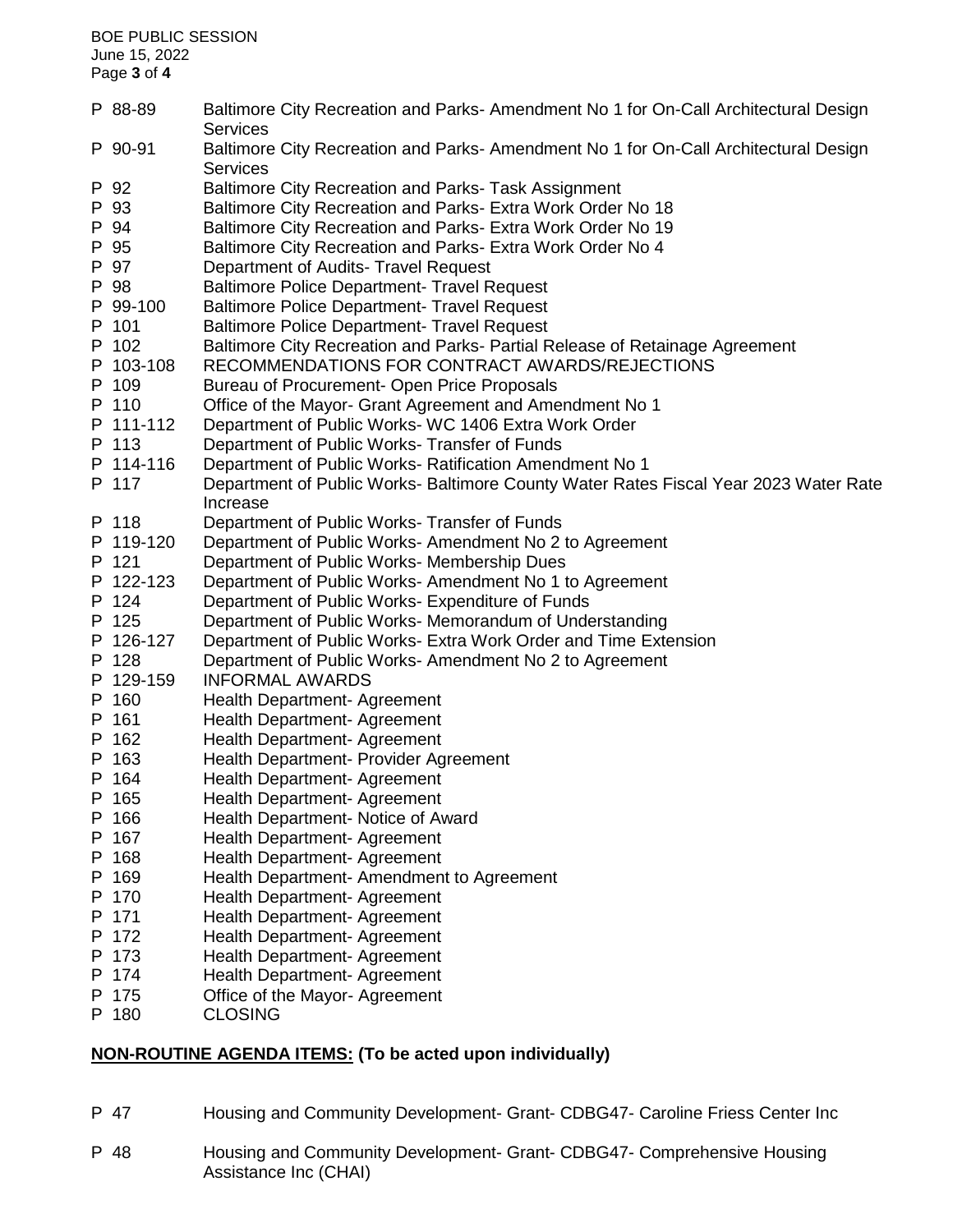BOE PUBLIC SESSION June 15, 2022 Page **3** of **4** P 88-89 Baltimore City Recreation and Parks- Amendment No 1 for On-Call Architectural Design **Services** P 90-91 Baltimore City Recreation and Parks- Amendment No 1 for On-Call Architectural Design Services P 92 Baltimore City Recreation and Parks- Task Assignment P 93 Baltimore City Recreation and Parks- Extra Work Order No 18 P 94 Baltimore City Recreation and Parks- Extra Work Order No 19 P 95 Baltimore City Recreation and Parks- Extra Work Order No 4 P 97 Department of Audits- Travel Request P 98 Baltimore Police Department- Travel Request P 99-100 Baltimore Police Department- Travel Request P 101 Baltimore Police Department- Travel Request P 102 Baltimore City Recreation and Parks- Partial Release of Retainage Agreement P 103-108 RECOMMENDATIONS FOR CONTRACT AWARDS/REJECTIONS P 109 Bureau of Procurement- Open Price Proposals P 110 Office of the Mayor- Grant Agreement and Amendment No 1 P 111-112 Department of Public Works- WC 1406 Extra Work Order P 113 Department of Public Works- Transfer of Funds P 114-116 Department of Public Works- Ratification Amendment No 1 P 117 Department of Public Works- Baltimore County Water Rates Fiscal Year 2023 Water Rate Increase P 118 Department of Public Works- Transfer of Funds P 119-120 Department of Public Works- Amendment No 2 to Agreement P 121 Department of Public Works- Membership Dues P 122-123 Department of Public Works- Amendment No 1 to Agreement P 124 Department of Public Works- Expenditure of Funds P 125 Department of Public Works- Memorandum of Understanding P 126-127 Department of Public Works- Extra Work Order and Time Extension P 128 Department of Public Works- Amendment No 2 to Agreement P 129-159 INFORMAL AWARDS P 160 Health Department- Agreement P 161 Health Department- Agreement P 162 Health Department- Agreement P 163 Health Department- Provider Agreement P 164 Health Department- Agreement P 165 Health Department- Agreement P 166 Health Department- Notice of Award P 167 Health Department- Agreement P 168 Health Department- Agreement P 169 Health Department- Amendment to Agreement P 170 Health Department- Agreement P 171 Health Department- Agreement P 172 Health Department- Agreement P 173 Health Department- Agreement P 174 Health Department- Agreement P 175 Office of the Mayor- Agreement P 180 CLOSING

## **NON-ROUTINE AGENDA ITEMS: (To be acted upon individually)**

- P 47 Housing and Community Development- Grant- CDBG47- Caroline Friess Center Inc
- P 48 Housing and Community Development- Grant- CDBG47- Comprehensive Housing Assistance Inc (CHAI)